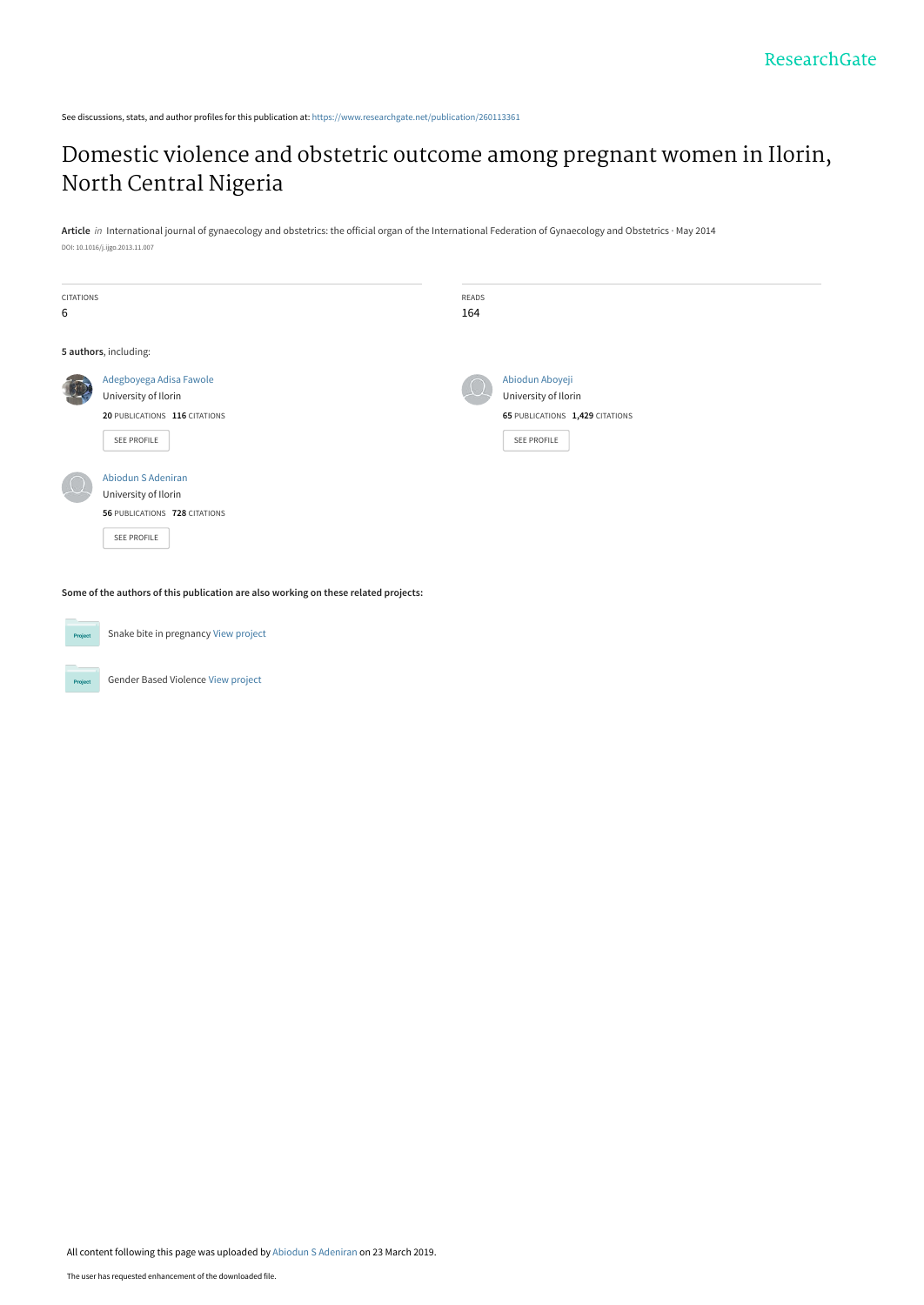See discussions, stats, and author profiles for this publication at: [https://www.researchgate.net/publication/260113361](https://www.researchgate.net/publication/260113361_Domestic_violence_and_obstetric_outcome_among_pregnant_women_in_Ilorin_North_Central_Nigeria?enrichId=rgreq-fb3aafd73268718039b55073072385fe-XXX&enrichSource=Y292ZXJQYWdlOzI2MDExMzM2MTtBUzo3Mzk1MjgyMjI0NjE5NTRAMTU1MzMyODY3NjI4Nw%3D%3D&el=1_x_2&_esc=publicationCoverPdf)

# [Domestic violence and obstetric outcome among pregnant women in Ilorin,](https://www.researchgate.net/publication/260113361_Domestic_violence_and_obstetric_outcome_among_pregnant_women_in_Ilorin_North_Central_Nigeria?enrichId=rgreq-fb3aafd73268718039b55073072385fe-XXX&enrichSource=Y292ZXJQYWdlOzI2MDExMzM2MTtBUzo3Mzk1MjgyMjI0NjE5NTRAMTU1MzMyODY3NjI4Nw%3D%3D&el=1_x_3&_esc=publicationCoverPdf) North Central Nigeria

**Article** in International journal of gynaecology and obstetrics: the official organ of the International Federation of Gynaecology and Obstetrics · May 2014 DOI: 10.1016/j.ijgo.2013.11.007

| <b>CITATIONS</b><br>6 |                                                                                                 | READS<br>164 |                                                                                           |  |  |  |
|-----------------------|-------------------------------------------------------------------------------------------------|--------------|-------------------------------------------------------------------------------------------|--|--|--|
| 5 authors, including: |                                                                                                 |              |                                                                                           |  |  |  |
|                       | Adegboyega Adisa Fawole<br>University of Ilorin<br>20 PUBLICATIONS 116 CITATIONS<br>SEE PROFILE |              | Abiodun Aboyeji<br>University of Ilorin<br>65 PUBLICATIONS 1,429 CITATIONS<br>SEE PROFILE |  |  |  |
|                       | Abiodun S Adeniran<br>University of Ilorin<br>56 PUBLICATIONS 728 CITATIONS<br>SEE PROFILE      |              |                                                                                           |  |  |  |

**Some of the authors of this publication are also working on these related projects:**

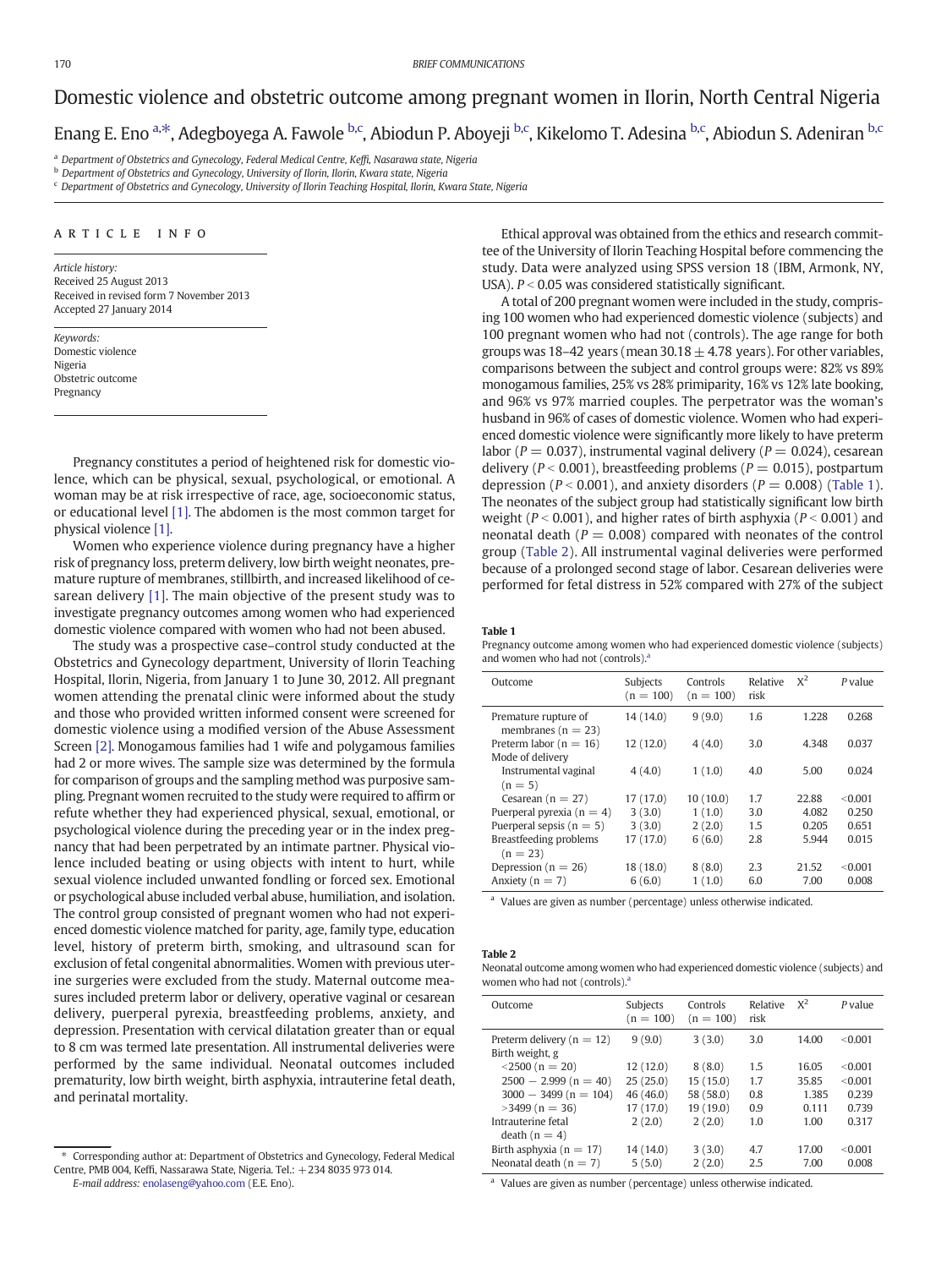## Domestic violence and obstetric outcome among pregnant women in Ilorin, North Central Nigeria Enang E. Eno <sup>a,\*</sup>, Adegboyega A. Fawole <sup>b,c</sup>, Abiodun P. Aboyeji <sup>b,c</sup>, Kikelomo T. Adesina <sup>b,c</sup>, Abiodun S. Adeniran <sup>b,c</sup>

a Department of Obstetrics and Gynecology, Federal Medical Centre, Keffi, Nasarawa state, Nigeria

b Department of Obstetrics and Gynecology, University of Ilorin, Ilorin, Kwara state, Nigeria

 $c$  Department of Obstetrics and Gynecology, University of Ilorin Teaching Hospital, Ilorin, Kwara State, Nigeria

#### article info

Article history: Received 25 August 2013 Received in revised form 7 November 2013 Accepted 27 January 2014

Keywords: Domestic violence Nigeria Obstetric outcome Pregnancy

Pregnancy constitutes a period of heightened risk for domestic violence, which can be physical, sexual, psychological, or emotional. A woman may be at risk irrespective of race, age, socioeconomic status, or educational level [1]. The abdomen is the most common target for physical violence [1].

Women who experience violence during pregnancy have a higher risk of pregnancy loss, preterm delivery, low birth weight neonates, premature rupture of membranes, stillbirth, and increased likelihood of cesarean delivery [1]. The main objective of the present study was to investigate pregnancy outcomes among women who had experienced domestic violence compared with women who had not been abused.

The study was a prospective case–control study conducted at the Obstetrics and Gynecology department, University of Ilorin Teaching Hospital, Ilorin, Nigeria, from January 1 to June 30, 2012. All pregnant women attending the prenatal clinic were informed about the study and those who provided written informed consent were screened for domestic violence using a modified version of the Abuse Assessment Screen [2]. Monogamous families had 1 wife and polygamous families had 2 or more wives. The sample size was determined by the formula for comparison of groups and the sampling method was purposive sampling. Pregnant women recruited to the study were required to affirm or refute whether they had experienced physical, sexual, emotional, or psychological violence during the preceding year or in the index pregnancy that had been perpetrated by an intimate partner. Physical violence included beating or using objects with intent to hurt, while sexual violence included unwanted fondling or forced sex. Emotional or psychological abuse included verbal abuse, humiliation, and isolation. The control group consisted of pregnant women who had not experienced domestic violence matched for parity, age, family type, education level, history of preterm birth, smoking, and ultrasound scan for exclusion of fetal congenital abnormalities. Women with previous uterine surgeries were excluded from the study. Maternal outcome measures included preterm labor or delivery, operative vaginal or cesarean delivery, puerperal pyrexia, breastfeeding problems, anxiety, and depression. Presentation with cervical dilatation greater than or equal to 8 cm was termed late presentation. All instrumental deliveries were performed by the same individual. Neonatal outcomes included prematurity, low birth weight, birth asphyxia, intrauterine fetal death, and perinatal mortality.

Ethical approval was obtained from the ethics and research committee of the University of Ilorin Teaching Hospital before commencing the study. Data were analyzed using SPSS version 18 (IBM, Armonk, NY, USA).  $P < 0.05$  was considered statistically significant.

A total of 200 pregnant women were included in the study, comprising 100 women who had experienced domestic violence (subjects) and 100 pregnant women who had not (controls). The age range for both groups was 18–42 years (mean  $30.18 + 4.78$  years). For other variables, comparisons between the subject and control groups were: 82% vs 89% monogamous families, 25% vs 28% primiparity, 16% vs 12% late booking, and 96% vs 97% married couples. The perpetrator was the woman's husband in 96% of cases of domestic violence. Women who had experienced domestic violence were significantly more likely to have preterm labor ( $P = 0.037$ ), instrumental vaginal delivery ( $P = 0.024$ ), cesarean delivery ( $P < 0.001$ ), breastfeeding problems ( $P = 0.015$ ), postpartum depression ( $P < 0.001$ ), and anxiety disorders ( $P = 0.008$ ) (Table 1). The neonates of the subject group had statistically significant low birth weight ( $P < 0.001$ ), and higher rates of birth asphyxia ( $P < 0.001$ ) and neonatal death ( $P = 0.008$ ) compared with neonates of the control group (Table 2). All instrumental vaginal deliveries were performed because of a prolonged second stage of labor. Cesarean deliveries were performed for fetal distress in 52% compared with 27% of the subject

#### Table 1

Pregnancy outcome among women who had experienced domestic violence (subjects) and women who had not (controls). $\frac{3}{2}$ 

| Outcome                                        | Subjects<br>$(n = 100)$ | Controls<br>$(n = 100)$ | Relative<br>risk | $X^2$ | P value |
|------------------------------------------------|-------------------------|-------------------------|------------------|-------|---------|
| Premature rupture of<br>membranes ( $n = 23$ ) | 14 (14.0)               | 9(9.0)                  | 1.6              | 1.228 | 0.268   |
| Preterm labor ( $n = 16$ )                     | 12(12.0)                | 4(4.0)                  | 3.0              | 4.348 | 0.037   |
| Mode of delivery                               |                         |                         |                  |       |         |
| Instrumental vaginal                           | 4(4.0)                  | 1(1.0)                  | 4.0              | 5.00  | 0.024   |
| $(n = 5)$                                      |                         |                         |                  |       |         |
| Cesarean $(n = 27)$                            | 17 (17.0)               | 10(10.0)                | 1.7              | 22.88 | < 0.001 |
| Puerperal pyrexia ( $n = 4$ )                  | 3(3.0)                  | 1(1.0)                  | 3.0              | 4.082 | 0.250   |
| Puerperal sepsis ( $n = 5$ )                   | 3(3.0)                  | 2(2.0)                  | 1.5              | 0.205 | 0.651   |
| Breastfeeding problems                         | 17 (17.0)               | 6(6.0)                  | 2.8              | 5.944 | 0.015   |
| $(n = 23)$                                     |                         |                         |                  |       |         |
| Depression ( $n = 26$ )                        | 18 (18.0)               | 8(8.0)                  | 2.3              | 21.52 | < 0.001 |
| Anxiety ( $n = 7$ )                            | 6(6.0)                  | 1(1.0)                  | 6.0              | 7.00  | 0.008   |

<sup>a</sup> Values are given as number (percentage) unless otherwise indicated.

#### Table 2

Neonatal outcome among women who had experienced domestic violence (subjects) and women who had not  $($  controls $).$ <sup>a</sup>

| Outcome                                          | Subjects<br>$(n = 100)$ | Controls<br>$(n = 100)$ | Relative<br>risk | $X^2$ | P value |
|--------------------------------------------------|-------------------------|-------------------------|------------------|-------|---------|
| Preterm delivery ( $n = 12$ )<br>Birth weight, g | 9(9.0)                  | 3(3.0)                  | 3.0              | 14.00 | < 0.001 |
| $\leq$ 2500 (n = 20)                             | 12(12.0)                | 8(8.0)                  | 1.5              | 16.05 | < 0.001 |
| $2500 - 2.999(n = 40)$                           | 25(25.0)                | 15(15.0)                | 1.7              | 35.85 | < 0.001 |
| $3000 - 3499(n = 104)$                           | 46(46.0)                | 58 (58.0)               | 0.8              | 1.385 | 0.239   |
| $>3499$ (n = 36)                                 | 17(17.0)                | 19 (19.0)               | 0.9              | 0.111 | 0.739   |
| Intrauterine fetal                               | 2(2.0)                  | 2(2.0)                  | 1.0              | 1.00  | 0.317   |
| death $(n = 4)$                                  |                         |                         |                  |       |         |
| Birth asphyxia ( $n = 17$ )                      | 14 (14.0)               | 3(3.0)                  | 4.7              | 17.00 | < 0.001 |
| Neonatal death $(n = 7)$                         | 5(5.0)                  | 2(2.0)                  | 2.5              | 7.00  | 0.008   |

<sup>a</sup> Values are given as number (percentage) unless otherwise indicated.

<sup>⁎</sup> Corresponding author at: Department of Obstetrics and Gynecology, Federal Medical Centre, PMB 004, Keffi, Nassarawa State, Nigeria. Tel.: +234 8035 973 014.

E-mail address: enolaseng@yahoo.com (E.E. Eno).